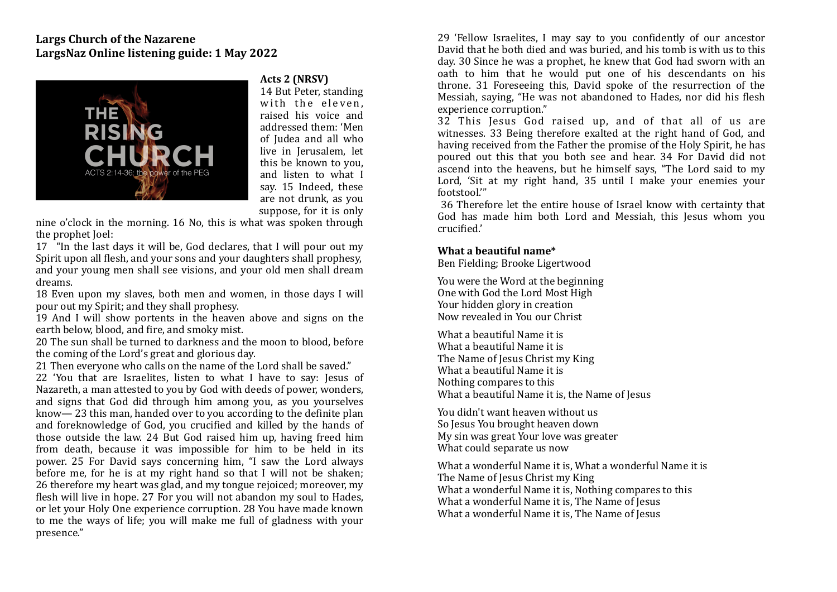# **Largs Church of the Nazarene** LargsNaz Online listening guide: 1 May 2022



#### **Acts 2 (NRSV)**

14 But Peter, standing with the eleven. raised his voice and addressed them: 'Men of Judea and all who live in Ierusalem, let this be known to you. and listen to what I say. 15 Indeed, these are not drunk, as you suppose, for it is only

nine o'clock in the morning. 16 No, this is what was spoken through the prophet Ioel:

17 "In the last days it will be, God declares, that I will pour out my Spirit upon all flesh, and your sons and your daughters shall prophesy, and your young men shall see visions, and your old men shall dream dreams. 

18 Even upon my slaves, both men and women, in those days I will pour out my Spirit; and they shall prophesy.

19 And I will show portents in the heaven above and signs on the earth below, blood, and fire, and smoky mist.

20 The sun shall be turned to darkness and the moon to blood, before the coming of the Lord's great and glorious day.

21 Then everyone who calls on the name of the Lord shall be saved."

22 'You that are Israelites, listen to what I have to say: Jesus of Nazareth, a man attested to you by God with deeds of power, wonders, and signs that God did through him among you, as you yourselves know— $23$  this man, handed over to you according to the definite plan and foreknowledge of God, you crucified and killed by the hands of those outside the law. 24 But God raised him up, having freed him from death, because it was impossible for him to be held in its power. 25 For David says concerning him, "I saw the Lord always before me, for he is at my right hand so that I will not be shaken; 26 therefore my heart was glad, and my tongue rejoiced; moreover, my flesh will live in hope. 27 For you will not abandon my soul to Hades, or let your Holy One experience corruption. 28 You have made known to me the ways of life; you will make me full of gladness with your presence." 

29 'Fellow Israelites, I may say to you confidently of our ancestor David that he both died and was buried, and his tomb is with us to this day. 30 Since he was a prophet, he knew that God had sworn with an oath to him that he would put one of his descendants on his throne. 31 Foreseeing this, David spoke of the resurrection of the Messiah, saying, "He was not abandoned to Hades, nor did his flesh experience corruption."

32 This Jesus God raised up, and of that all of us are witnesses. 33 Being therefore exalted at the right hand of God, and having received from the Father the promise of the Holy Spirit, he has poured out this that you both see and hear. 34 For David did not ascend into the heavens, but he himself says, "The Lord said to my Lord, 'Sit at my right hand, 35 until I make your enemies your footstool.'" 

36 Therefore let the entire house of Israel know with certainty that God has made him both Lord and Messiah, this Jesus whom you crucified.'

## **What a beautiful name\***

Ben Fielding; Brooke Ligertwood

You were the Word at the beginning One with God the Lord Most High Your hidden glory in creation Now revealed in You our Christ

What a heautiful Name it is What a heautiful Name it is The Name of Jesus Christ my King What a beautiful Name it is Nothing compares to this What a beautiful Name it is, the Name of Jesus

You didn't want heaven without us So Jesus You brought heaven down My sin was great Your love was greater What could separate us now

What a wonderful Name it is, What a wonderful Name it is The Name of Jesus Christ my King What a wonderful Name it is, Nothing compares to this What a wonderful Name it is. The Name of Jesus What a wonderful Name it is, The Name of lesus